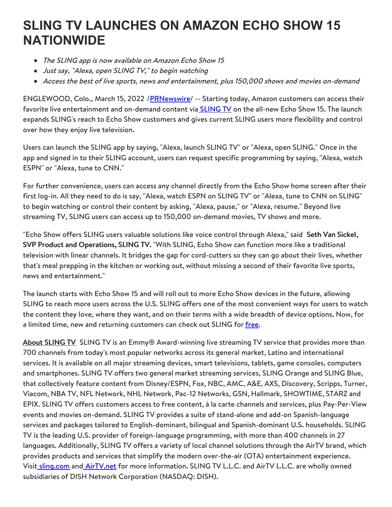## **SLING TV LAUNCHES ON AMAZON ECHO SHOW 15 NATIONWIDE**

- The SLING app is now available on Amazon Echo Show 15
- Just say, "Alexa, open SLING TV," to begin watching
- Access the best of live sports, news and entertainment, plus 150,000 shows and movies on-demand

ENGLEWOOD, Colo., March 15, 2022 /[PRNewswire](http://www.prnewswire.com/)/ -- Starting today, Amazon customers can access their favorite live entertainment and on-demand content via **[SLING](https://c212.net/c/link/?t=0&l=en&o=3472599-1&h=2373735052&u=https%3A%2F%2Fwww.sling.com%2F&a=SLING+TV) TV** on the all-new Echo Show 15. The launch expands SLING's reach to Echo Show customers and gives current SLING users more flexibility and control over how they enjoy live television.

Users can launch the SLING app by saying, "Alexa, launch SLING TV" or "Alexa, open SLING." Once in the app and signed in to their SLING account, users can request specific programming by saying, "Alexa, watch ESPN" or "Alexa, tune to CNN."

For further convenience, users can access any channel directly from the Echo Show home screen after their first log-in. All they need to do is say, "Alexa, watch ESPN on SLING TV" or "Alexa, tune to CNN on SLING'' to begin watching or control their content by asking, "Alexa, pause," or "Alexa, resume." Beyond live streaming TV, SLING users can access up to 150,000 on-demand movies, TV shows and more.

"Echo Show offers SLING users valuable solutions like voice control through Alexa," said Seth Van Sickel, SVP Product and Operations, SLING TV. "With SLING, Echo Show can function more like a traditional television with linear channels. It bridges the gap for cord-cutters so they can go about their lives, whether that's meal prepping in the kitchen or working out, without missing a second of their favorite live sports, news and entertainment."

The launch starts with Echo Show 15 and will roll out to more Echo Show devices in the future, allowing SLING to reach more users across the U.S. SLING offers one of the most convenient ways for users to watch the content they love, where they want, and on their terms with a wide breadth of device options. Now, for a limited time, new and returning customers can check out SLING for [free](https://c212.net/c/link/?t=0&l=en&o=3472599-1&h=3605034170&u=http%3A%2F%2Fsling.com%2F&a=free).

About SLING TV SLING TV is an Emmy® Award-winning live streaming TV service that provides more than 700 channels from today's most popular networks across its general market, Latino and international services. It is available on all major streaming devices, smart televisions, tablets, game consoles, computers and smartphones. SLING TV offers two general market streaming services, SLING Orange and SLING Blue, that collectively feature content from Disney/ESPN, Fox, NBC, AMC, A&E, AXS, Discovery, Scripps, Turner, Viacom, NBA TV, NFL Network, NHL Network, Pac-12 Networks, GSN, Hallmark, SHOWTIME, STARZ and EPIX. SLING TV offers customers access to free content, à la carte channels and services, plus Pay-Per-View events and movies on-demand. SLING TV provides a suite of stand-alone and add-on Spanish-language services and packages tailored to English-dominant, bilingual and Spanish-dominant U.S. households. SLING TV is the leading U.S. provider of foreign-language programming, with more than 400 channels in 27 languages. Additionally, SLING TV offers a variety of local channel solutions through the AirTV brand, which provides products and services that simplify the modern over-the-air (OTA) entertainment experience. Visi[t](https://c212.net/c/link/?t=0&l=en&o=3472599-1&h=4089008198&u=https%3A%2F%2Fwww.sling.com%2F&a=%C2%A0) [sling.com](https://c212.net/c/link/?t=0&l=en&o=3472599-1&h=3820326706&u=https%3A%2F%2Fwww.sling.com%2F&a=sling.com) and **[AirTV.net](https://c212.net/c/link/?t=0&l=en&o=3472599-1&h=1859321476&u=https%3A%2F%2Fwww.airtv.net%2F&a=AirTV.net)** for more information. SLING TV L.L.C. and AirTV L.L.C. are wholly owned subsidiaries of DISH Network Corporation (NASDAQ: DISH).